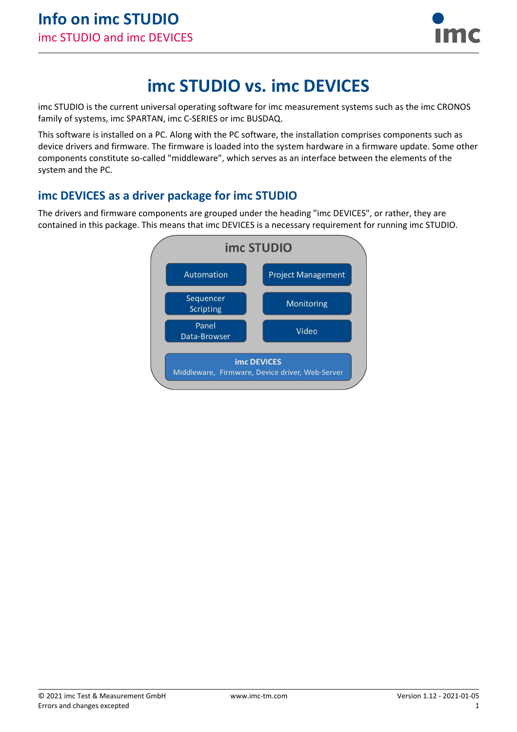

# **imc STUDIO vs. imc DEVICES**

imc STUDIO is the current universal operating software for imc measurement systems such as the imc CRONOS family of systems, imc SPARTAN, imc C-SERIES or imc BUSDAQ.

This software is installed on a PC. Along with the PC software, the installation comprises components such as device drivers and firmware. The firmware is loaded into the system hardware in a firmware update. Some other components constitute so-called "middleware", which serves as an interface between the elements of the system and the PC.

## **imc DEVICES as a driver package for imc STUDIO**

The drivers and firmware components are grouped under the heading "imc DEVICES", or rather, they are contained in this package. This means that imc DEVICES is a necessary requirement for running imc STUDIO.

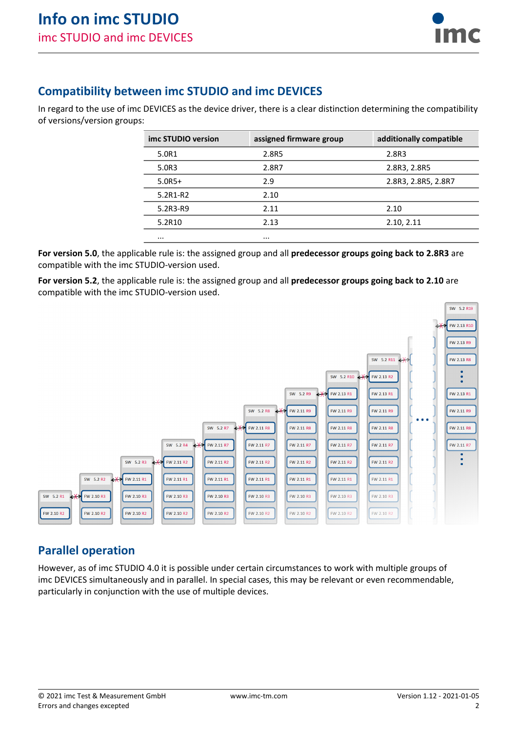

### **Compatibility between imc STUDIO and imc DEVICES**

In regard to the use of imc DEVICES as the device driver, there is a clear distinction determining the compatibility of versions/version groups:

| imc STUDIO version | assigned firmware group | additionally compatible |
|--------------------|-------------------------|-------------------------|
| 5.0R1              | 2.8R5                   | 2.8R3                   |
| 5.0R3              | 2.8R7                   | 2.8R3, 2.8R5            |
| $5.0R5+$           | 2.9                     | 2.8R3, 2.8R5, 2.8R7     |
| 5.2R1-R2           | 2.10                    |                         |
| 5.2R3-R9           | 2.11                    | 2.10                    |
| 5.2R10             | 2.13                    | 2.10, 2.11              |
| $\cdots$           | $\cdots$                |                         |
|                    |                         |                         |

**For version 5.0**, the applicable rule is: the assigned group and all **predecessor groups going back to 2.8R3** are compatible with the imc STUDIO-version used.

**For version 5.2**, the applicable rule is: the assigned group and all **predecessor groups going back to 2.10** are compatible with the imc STUDIO-version used.



### **Parallel operation**

However, as of imc STUDIO 4.0 it is possible under certain circumstances to work with multiple groups of imc DEVICES simultaneously and in parallel. In special cases, this may be relevant or even recommendable, particularly in conjunction with the use of multiple devices.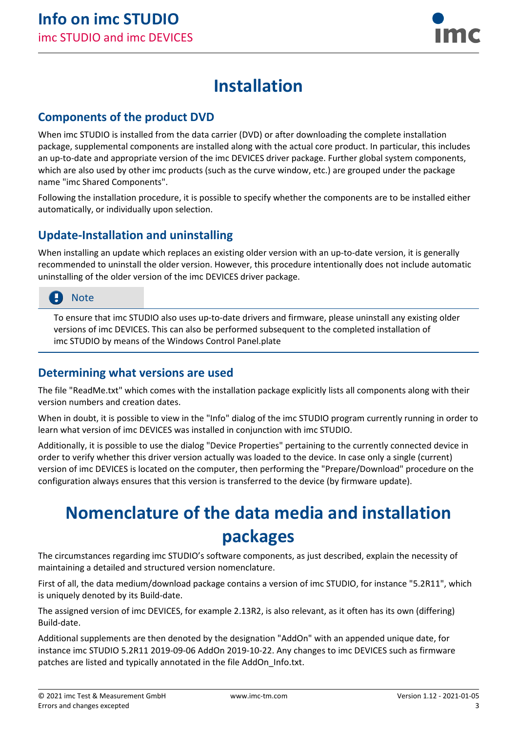

## **Installation**

#### **Components of the product DVD**

When imc STUDIO is installed from the data carrier (DVD) or after downloading the complete installation package, supplemental components are installed along with the actual core product. In particular, this includes an up-to-date and appropriate version of the imc DEVICES driver package. Further global system components, which are also used by other imc products (such as the curve window, etc.) are grouped under the package name "imc Shared Components".

Following the installation procedure, it is possible to specify whether the components are to be installed either automatically, or individually upon selection.

### **Update-Installation and uninstalling**

When installing an update which replaces an existing older version with an up-to-date version, it is generally recommended to uninstall the older version. However, this procedure intentionally does not include automatic uninstalling of the older version of the imc DEVICES driver package.

### **Note**

To ensure that imc STUDIO also uses up-to-date drivers and firmware, please uninstall any existing older versions of imc DEVICES. This can also be performed subsequent to the completed installation of imc STUDIO by means of the Windows Control Panel.plate

#### **Determining what versions are used**

The file "ReadMe.txt" which comes with the installation package explicitly lists all components along with their version numbers and creation dates.

When in doubt, it is possible to view in the "Info" dialog of the imc STUDIO program currently running in order to learn what version of imc DEVICES was installed in conjunction with imc STUDIO.

Additionally, it is possible to use the dialog "Device Properties" pertaining to the currently connected device in order to verify whether this driver version actually was loaded to the device. In case only a single (current) version of imc DEVICES is located on the computer, then performing the "Prepare/Download" procedure on the configuration always ensures that this version is transferred to the device (by firmware update).

# **Nomenclature of the data media and installation packages**

The circumstances regarding imc STUDIO's software components, as just described, explain the necessity of maintaining a detailed and structured version nomenclature.

First of all, the data medium/download package contains a version of imc STUDIO, for instance "5.2R11", which is uniquely denoted by its Build-date.

The assigned version of imc DEVICES, for example 2.13R2, is also relevant, as it often has its own (differing) Build-date.

Additional supplements are then denoted by the designation "AddOn" with an appended unique date, for instance imc STUDIO 5.2R11 2019-09-06 AddOn 2019-10-22. Any changes to imc DEVICES such as firmware patches are listed and typically annotated in the file AddOn\_Info.txt.